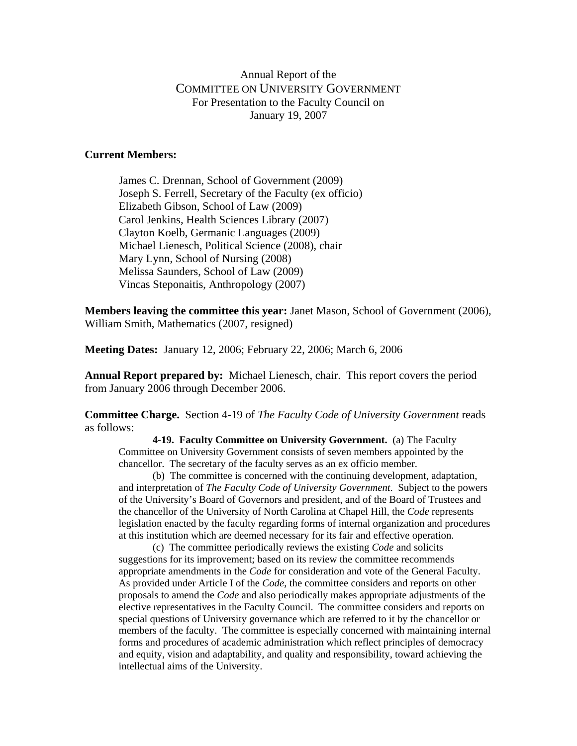## Annual Report of the COMMITTEE ON UNIVERSITY GOVERNMENT For Presentation to the Faculty Council on January 19, 2007

## **Current Members:**

James C. Drennan, School of Government (2009) Joseph S. Ferrell, Secretary of the Faculty (ex officio) Elizabeth Gibson, School of Law (2009) Carol Jenkins, Health Sciences Library (2007) Clayton Koelb, Germanic Languages (2009) Michael Lienesch, Political Science (2008), chair Mary Lynn, School of Nursing (2008) Melissa Saunders, School of Law (2009) Vincas Steponaitis, Anthropology (2007)

**Members leaving the committee this year:** Janet Mason, School of Government (2006), William Smith, Mathematics (2007, resigned)

**Meeting Dates:** January 12, 2006; February 22, 2006; March 6, 2006

**Annual Report prepared by:** Michael Lienesch, chair. This report covers the period from January 2006 through December 2006.

**Committee Charge.** Section 4-19 of *The Faculty Code of University Government* reads as follows:

**4-19. Faculty Committee on University Government.** (a) The Faculty Committee on University Government consists of seven members appointed by the chancellor. The secretary of the faculty serves as an ex officio member.

(b) The committee is concerned with the continuing development, adaptation, and interpretation of *The Faculty Code of University Government*. Subject to the powers of the University's Board of Governors and president, and of the Board of Trustees and the chancellor of the University of North Carolina at Chapel Hill, the *Code* represents legislation enacted by the faculty regarding forms of internal organization and procedures at this institution which are deemed necessary for its fair and effective operation.

 (c) The committee periodically reviews the existing *Code* and solicits suggestions for its improvement; based on its review the committee recommends appropriate amendments in the *Code* for consideration and vote of the General Faculty. As provided under Article I of the *Code*, the committee considers and reports on other proposals to amend the *Code* and also periodically makes appropriate adjustments of the elective representatives in the Faculty Council. The committee considers and reports on special questions of University governance which are referred to it by the chancellor or members of the faculty. The committee is especially concerned with maintaining internal forms and procedures of academic administration which reflect principles of democracy and equity, vision and adaptability, and quality and responsibility, toward achieving the intellectual aims of the University.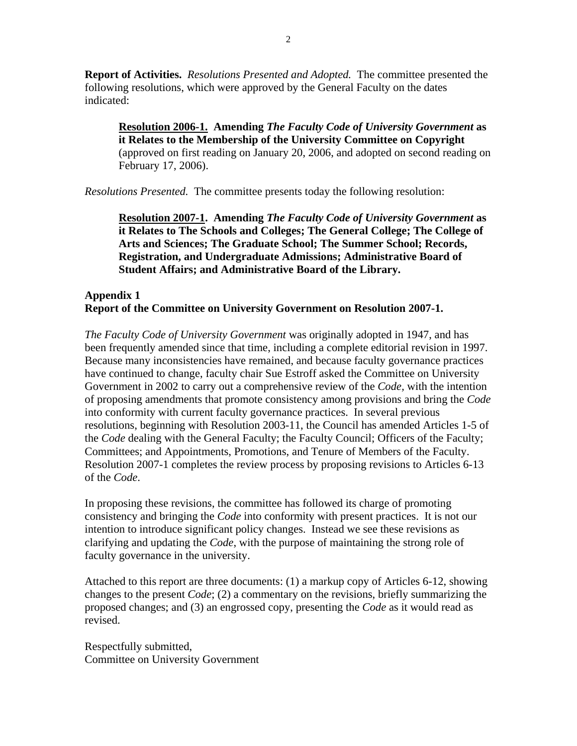**Report of Activities.** *Resolutions Presented and Adopted.* The committee presented the following resolutions, which were approved by the General Faculty on the dates indicated:

**Resolution 2006-1. Amending** *The Faculty Code of University Government* **as it Relates to the Membership of the University Committee on Copyright**  (approved on first reading on January 20, 2006, and adopted on second reading on February 17, 2006).

*Resolutions Presented.* The committee presents today the following resolution:

 **Resolution 2007-1. Amending** *The Faculty Code of University Government* **as it Relates to The Schools and Colleges; The General College; The College of Arts and Sciences; The Graduate School; The Summer School; Records, Registration, and Undergraduate Admissions; Administrative Board of Student Affairs; and Administrative Board of the Library.** 

## **Appendix 1 Report of the Committee on University Government on Resolution 2007-1.**

*The Faculty Code of University Government* was originally adopted in 1947, and has been frequently amended since that time, including a complete editorial revision in 1997. Because many inconsistencies have remained, and because faculty governance practices have continued to change, faculty chair Sue Estroff asked the Committee on University Government in 2002 to carry out a comprehensive review of the *Code,* with the intention of proposing amendments that promote consistency among provisions and bring the *Code* into conformity with current faculty governance practices. In several previous resolutions, beginning with Resolution 2003-11, the Council has amended Articles 1-5 of the *Code* dealing with the General Faculty; the Faculty Council; Officers of the Faculty; Committees; and Appointments, Promotions, and Tenure of Members of the Faculty. Resolution 2007-1 completes the review process by proposing revisions to Articles 6-13 of the *Code*.

In proposing these revisions, the committee has followed its charge of promoting consistency and bringing the *Code* into conformity with present practices. It is not our intention to introduce significant policy changes. Instead we see these revisions as clarifying and updating the *Code*, with the purpose of maintaining the strong role of faculty governance in the university.

Attached to this report are three documents: (1) a markup copy of Articles 6-12, showing changes to the present *Code*; (2) a commentary on the revisions, briefly summarizing the proposed changes; and (3) an engrossed copy, presenting the *Code* as it would read as revised.

Respectfully submitted, Committee on University Government